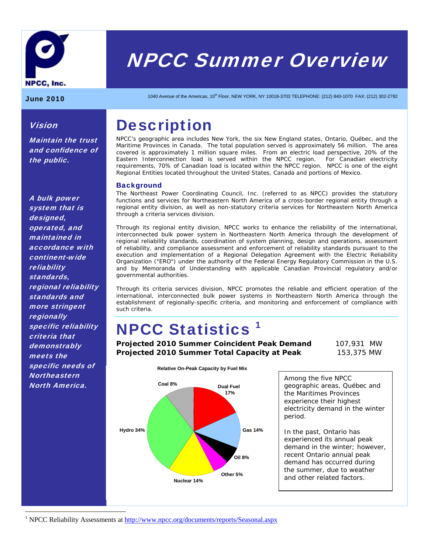

# NPCC Summer Overview

Vision

the public.

Maintain the trust and confidence of

June 2010 1040 Avenue of the Americas, 10<sup>th</sup> Floor, NEW YORK, NY 10018-3703 TELEPHONE: (212) 840-1070 FAX: (212) 302-2782

## **Description**

NPCC's geographic area includes New York, the six New England states, Ontario, Québec, and the Maritime Provinces in Canada. The total population served is approximately 56 million. The area covered is approximately 1 million square miles. From an electric load perspective, 20% of the Eastern Interconnection load is served within the NPCC region. For Canadian electricity requirements, 70% of Canadian load is located within the NPCC region. NPCC is one of the eight Regional Entities located throughout the United States, Canada and portions of Mexico.

### **Background**

The Northeast Power Coordinating Council, Inc. (referred to as NPCC) provides the statutory functions and services for Northeastern North America of a cross-border regional entity through a regional entity division, as well as non-statutory criteria services for Northeastern North America through a criteria services division.

Through its regional entity division, NPCC works to enhance the reliability of the international, interconnected bulk power system in Northeastern North America through the development of regional reliability standards, coordination of system planning, design and operations, assessment of reliability, and compliance assessment and enforcement of reliability standards pursuant to the execution and implementation of a Regional Delegation Agreement with the Electric Reliability Organization ("ERO") under the authority of the Federal Energy Regulatory Commission in the U.S. and by Memoranda of Understanding with applicable Canadian Provincial regulatory and/or governmental authorities.

Through its criteria services division, NPCC promotes the reliable and efficient operation of the international, interconnected bulk power systems in Northeastern North America through the establishment of regionally-specific criteria, and monitoring and enforcement of compliance with such criteria.

# NPCC Statistics 1

**Projected 2010 Summer Coincident Peak Demand** 107,931 MW **Projected 2010 Summer Total Capacity at Peak** 153,375 MW



Among the five NPCC geographic areas, Québec and the Maritimes Provinces experience their highest electricity demand in the winter period.

In the past, Ontario has experienced its annual peak demand in the winter; however, recent Ontario annual peak demand has occurred during the summer, due to weather and other related factors.

A bulk power system that is designed, operated, and maintained in accordance with continent-wide reliability standards, regional reliability standards and more stringent **regionally** specific reliability criteria that **demonstrably** meets the specific needs of **Northeastern** North America.

 $\overline{a}$